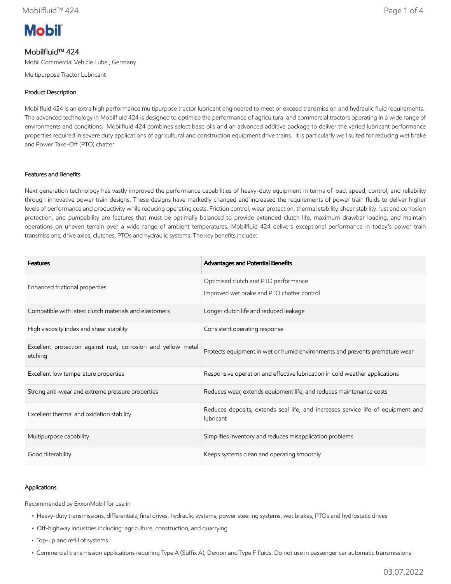# **Mobil**

# Mobilfluid™ 424

Mobil Commercial Vehicle Lube , Germany

Multipurpose Tractor Lubricant

# Product Description

Mobilfluid 424 is an extra high performance multipurpose tractor lubricant engineered to meet or exceed transmission and hydraulic fluid requirements. The advanced technology in Mobilfluid 424 is designed to optimise the performance of agricultural and commercial tractors operating in a wide range of environments and conditions. Mobilfluid 424 combines select base oils and an advanced additive package to deliver the varied lubricant performance properties required in severe duty applications of agricultural and construction equipment drive trains. It is particularly well suited for reducing wet brake and Power Take-Off (PTO) chatter.

## Features and Benefits

Next generation technology has vastly improved the performance capabilities of heavy-duty equipment in terms of load, speed, control, and reliability through innovative power train designs. These designs have markedly changed and increased the requirements of power train fluids to deliver higher levels of performance and productivity while reducing operating costs. Friction control, wear protection, thermal stability, shear stability, rust and corrosion protection, and pumpability are features that must be optimally balanced to provide extended clutch life, maximum drawbar loading, and maintain operations on uneven terrain over a wide range of ambient temperatures. Mobilfluid 424 delivers exceptional performance in today's power train transmissions, drive axles, clutches, PTOs and hydraulic systems. The key benefits include:

| <b>Features</b>                                                          | Advantages and Potential Benefits                                                             |  |
|--------------------------------------------------------------------------|-----------------------------------------------------------------------------------------------|--|
| Enhanced frictional properties                                           | Optimised clutch and PTO performance<br>Improved wet brake and PTO chatter control            |  |
| Compatible with latest clutch materials and elastomers                   | Longer clutch life and reduced leakage                                                        |  |
| High viscosity index and shear stability                                 | Consistent operating response                                                                 |  |
| Excellent protection against rust, corrosion and yellow metal<br>etching | Protects equipment in wet or humid environments and prevents premature wear                   |  |
| Excellent low temperature properties                                     | Responsive operation and effective lubrication in cold weather applications                   |  |
| Strong anti-wear and extreme pressure properties                         | Reduces wear, extends equipment life, and reduces maintenance costs                           |  |
| Excellent thermal and oxidation stability                                | Reduces deposits, extends seal life, and increases service life of equipment and<br>lubricant |  |
| Multipurpose capability                                                  | Simplifies inventory and reduces misapplication problems                                      |  |
| Good filterability                                                       | Keeps systems clean and operating smoothly                                                    |  |

## Applications

Recommended by ExxonMobil for use in

- Heavy-duty transmissions, differentials, final drives, hydraulic systems, power steering systems, wet brakes, PTOs and hydrostatic drives
- Off-highway industries including: agriculture, construction, and quarrying
- Top-up and refill of systems
- Commercial transmission applications requiring Type A (Suffix A), Dexron and Type F fluids. Do not use in passenger car automatic transmissions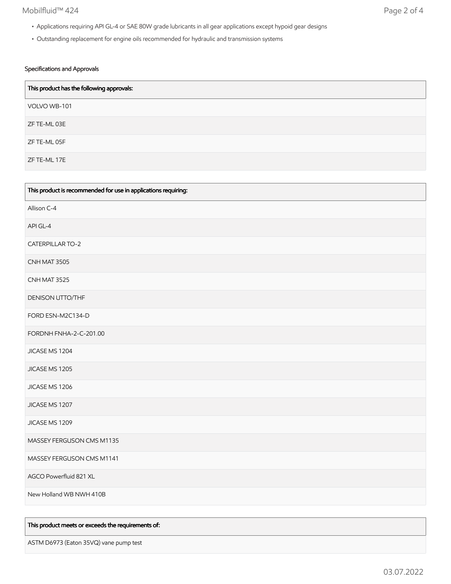# Mobilfluid™ 424 Page 2 of 4

- Applications requiring API GL-4 or SAE 80W grade lubricants in all gear applications except hypoid gear designs
- Outstanding replacement for engine oils recommended for hydraulic and transmission systems

## Specifications and Approvals

| This product has the following approvals: |
|-------------------------------------------|
| VOLVO WB-101                              |
| ZF TE-ML 03E                              |
| ZF TE-ML 05F                              |
| ZF TE-ML 17E                              |

| This product is recommended for use in applications requiring: |
|----------------------------------------------------------------|
| Allison C-4                                                    |
| API GL-4                                                       |
| <b>CATERPILLAR TO-2</b>                                        |
| CNH MAT 3505                                                   |
| CNH MAT 3525                                                   |
| DENISON UTTO/THF                                               |
| FORD ESN-M2C134-D                                              |
| FORDNH FNHA-2-C-201.00                                         |
| JICASE MS 1204                                                 |
| JICASE MS 1205                                                 |
| JICASE MS 1206                                                 |
| JICASE MS 1207                                                 |
| JICASE MS 1209                                                 |
| MASSEY FERGUSON CMS M1135                                      |
| MASSEY FERGUSON CMS M1141                                      |
| AGCO Powerfluid 821 XL                                         |
| New Holland WB NWH 410B                                        |

### This product meets or exceeds the requirements of:

ASTM D6973 (Eaton 35VQ) vane pump test